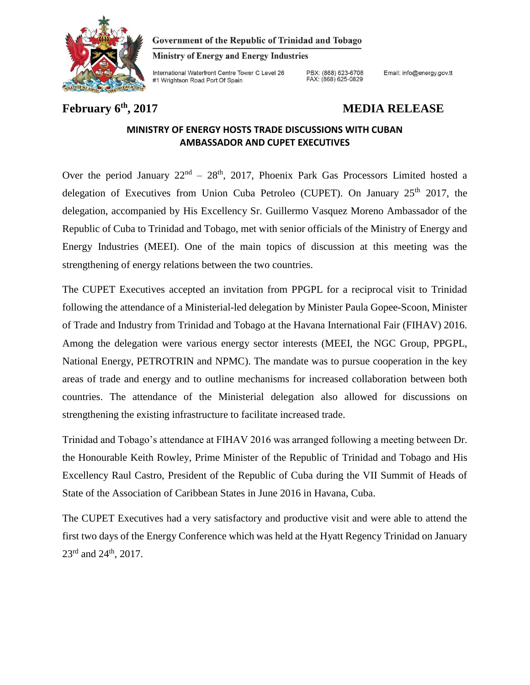

Government of the Republic of Trinidad and Tobago

**Ministry of Energy and Energy Industries** 

International Waterfront Centre Tower C Level 26 #1 Wrightson Road Port Of Spain

PBX: (868) 623-6708<br>FAX: (868) 625-0829

Email: info@energy.gov.tt

## **February 6th, 2017 MEDIA RELEASE**

## **MINISTRY OF ENERGY HOSTS TRADE DISCUSSIONS WITH CUBAN AMBASSADOR AND CUPET EXECUTIVES**

Over the period January  $22<sup>nd</sup> - 28<sup>th</sup>$ , 2017, Phoenix Park Gas Processors Limited hosted a delegation of Executives from Union Cuba Petroleo (CUPET). On January  $25<sup>th</sup>$  2017, the delegation, accompanied by His Excellency Sr. Guillermo Vasquez Moreno Ambassador of the Republic of Cuba to Trinidad and Tobago, met with senior officials of the Ministry of Energy and Energy Industries (MEEI). One of the main topics of discussion at this meeting was the strengthening of energy relations between the two countries.

The CUPET Executives accepted an invitation from PPGPL for a reciprocal visit to Trinidad following the attendance of a Ministerial-led delegation by Minister Paula Gopee-Scoon, Minister of Trade and Industry from Trinidad and Tobago at the Havana International Fair (FIHAV) 2016. Among the delegation were various energy sector interests (MEEI, the NGC Group, PPGPL, National Energy, PETROTRIN and NPMC). The mandate was to pursue cooperation in the key areas of trade and energy and to outline mechanisms for increased collaboration between both countries. The attendance of the Ministerial delegation also allowed for discussions on strengthening the existing infrastructure to facilitate increased trade.

Trinidad and Tobago's attendance at FIHAV 2016 was arranged following a meeting between Dr. the Honourable Keith Rowley, Prime Minister of the Republic of Trinidad and Tobago and His Excellency Raul Castro, President of the Republic of Cuba during the VII Summit of Heads of State of the Association of Caribbean States in June 2016 in Havana, Cuba.

The CUPET Executives had a very satisfactory and productive visit and were able to attend the first two days of the Energy Conference which was held at the Hyatt Regency Trinidad on January 23<sup>rd</sup> and 24<sup>th</sup>, 2017.